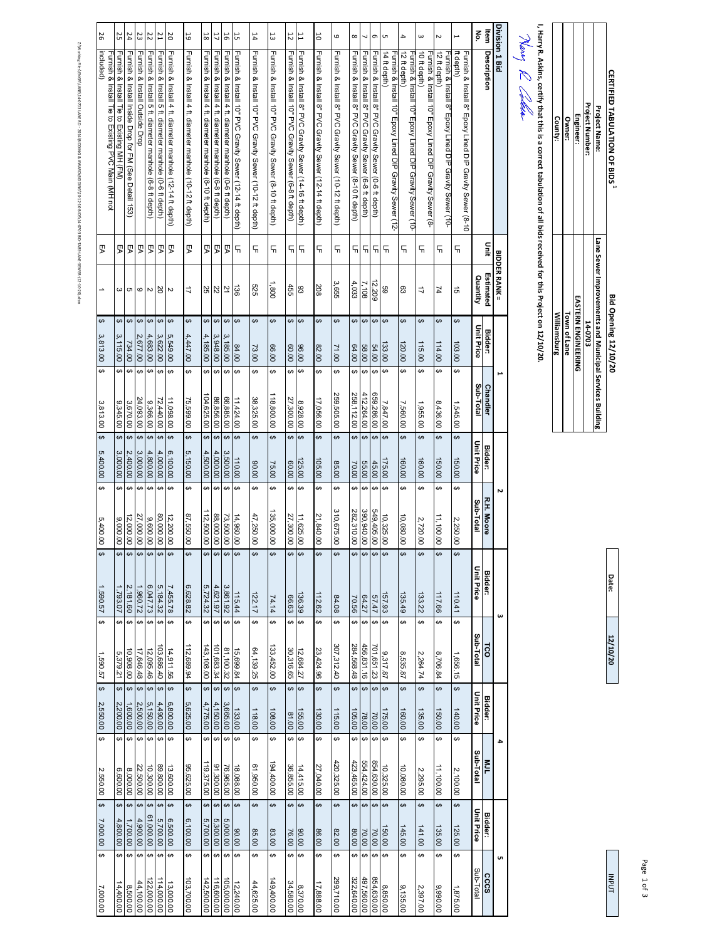| County:             | <b>Owner:</b> | Engineer:                  | Project Number: | Project Name:                                           | <b>CERTIFIED TABULATION OF BIDS</b> |
|---------------------|---------------|----------------------------|-----------------|---------------------------------------------------------|-------------------------------------|
| <b>Milliamsburg</b> | Town of Lane  | <b>EASTERN ENGINEERING</b> | 14-0703         | Lane Sewer Improvements and Municipal Services Building | <b>Bid Opening 12/10/20</b>         |

I, Harry R. Askins, certify that this is a correct tabulation of all bids received for this Project on 12/10/20.<br>Nearly  $\ell\ell$  Caller **I, Harry R. Askins, certify that this is a correct tabulation of all bids received for this Project on 12/10/20.**

| 26                                                              | 25                                        | $\overline{54}$                                       | 23                                  | 22                                                      | <b>Z1</b>                                                          | 20                                                        | 5                                                         | $18\,$                                                   | 17                                                      | $\overline{5}$                                          | 57                                                       | 14                                                       | 13                                                      | 12                                                        | $\overline{1}$                                          | 50                                                      | $\mathbf  \omega$                                       | $^{\circ}$                                             | ┙                                                     | G                                                     | <b>un</b>                                                               | $\overline{\phantom{a}}$                                                 | $\omega$                                                                | $\sim$                                                                  | Ē                                                                     | lter<br>2         |                   | Division 1 Bid       |
|-----------------------------------------------------------------|-------------------------------------------|-------------------------------------------------------|-------------------------------------|---------------------------------------------------------|--------------------------------------------------------------------|-----------------------------------------------------------|-----------------------------------------------------------|----------------------------------------------------------|---------------------------------------------------------|---------------------------------------------------------|----------------------------------------------------------|----------------------------------------------------------|---------------------------------------------------------|-----------------------------------------------------------|---------------------------------------------------------|---------------------------------------------------------|---------------------------------------------------------|--------------------------------------------------------|-------------------------------------------------------|-------------------------------------------------------|-------------------------------------------------------------------------|--------------------------------------------------------------------------|-------------------------------------------------------------------------|-------------------------------------------------------------------------|-----------------------------------------------------------------------|-------------------|-------------------|----------------------|
| included)<br>Furnish & Install Tie to Existing PVC Main (MH not | Furnish & Install Tie to Existing MH (FM) | Furnish & Install Inside Drop for FM (See Detail 153) | Furnish & Install Outside Drop      | Furnish & Install 5 ft. diameter manhole (6-8 ft depth) | Furnish &<br>Install 5 ft. diameter manhole<br>$(0-6$ ft depth $)$ | Furnish & Install 4 ft. diameter manhole (12-14 ft depth) | Furnish & Install 4 ft. diameter manhole (10-12 ft depth) | Furnish & Install 4 ft. diameter manhole (8-10 ft depth) | Furnish & Install 4 ft. diameter manhole (6-8 ft depth) | Furnish & Install 4 ft. diameter manhole (0-6 ft depth) | Furnish & Install 10" PVC Gravity Sewer (12-14 ft depth) | Furnish & Install 10" PVC Gravity Sewer (10-12 ft depth) | Furnish & Install 10" PVC Gravity Sewer (8-10 ft depth) | Furnish & Install 10" PVC<br>Gravity Sewer (6-8 ft depth) | Furnish & Install 8" PVC Gravity Sewer (14-16 ft depth) | Furnish & Install 8" PVC Gravity Sewer (12-14 ft depth) | Furnish & Install 8" PVC Gravity Sewer (10-12 ft depth) | Furnish & Install 8" PVC Gravity Sewer (8-10 ft depth) | Furnish & Install 8" PVC Gravity Sewer (6-8 ft depth) | Furnish & Install 8" PVC Gravity Sewer (0-6 ft depth) | 14 ft depth)<br>urnish & Install 10" Epoxy Lined DIP Gravity Sewer (12- | 12 ft depth)<br>−urnish & Install 10" Epoxy Lined DIP Gravity Sewer (10- | 10 ft depth)<br>Furnish & Install 10" Epoxy Lined DIP Gravity Sewer (8- | 12 ft depth)<br>-urnish & Install 8" Epoxy Lined DIP Gravity Sewer (10- | ft depth)<br>Furnish & Install 8" Epoxy Lined DIP Gravity Sewer (8-10 |                   | Description       |                      |
| ያ                                                               | ይ                                         | ያ                                                     | ይ                                   | ይ                                                       | ይ                                                                  | ያ                                                         | ይ                                                         | 剄                                                        | <b>Z</b>                                                | ይ                                                       | 듞                                                        | 듞                                                        | 듞                                                       | 듞                                                         | 듞                                                       | 듞                                                       | 듞                                                       | 듞                                                      | 듞                                                     | 듞                                                     | 듞                                                                       | 듞                                                                        | 듞                                                                       | 듞                                                                       | 듞                                                                     |                   | Dinit             |                      |
|                                                                 |                                           | $\omega$ $\sigma$ $\omega$ $\omega$                   |                                     |                                                         | SO                                                                 | $\sim$                                                    | $\overrightarrow{a}$                                      |                                                          | 225                                                     | 21                                                      | 58                                                       | 525                                                      | 1,800                                                   | 455                                                       | 83                                                      | 208                                                     | 3,655                                                   | 4,033                                                  | 7,108                                                 | 12,209                                                | 89                                                                      | S3                                                                       | $\overline{a}$                                                          | 74                                                                      | GÌ                                                                    | Quantity          | Estimated         | <b>BIDDER RANK =</b> |
| ↔<br>$\omega$                                                   | $\leftrightarrow$                         | $\leftrightarrow$                                     | $\leftrightarrow$                   | $\leftrightarrow$                                       | $\Theta$                                                           | $\Theta$                                                  | $\leftrightarrow$                                         | ↔                                                        | $\theta$                                                | $\Theta$                                                | $\theta$                                                 | ↔                                                        | ↔                                                       | ↔                                                         | $\Theta$                                                | ↔                                                       | ↔                                                       | ↔                                                      | $\pmb{\leftrightarrow}$                               | $\Theta$                                              | $\leftrightarrow$                                                       | ↔                                                                        | ↔                                                                       | $\Theta$                                                                | ↔                                                                     |                   |                   |                      |
| ,813.00                                                         | 3,115.00                                  | 734.00                                                | 2,677.00                            | 4,683.00                                                | 3,622.00                                                           | 5,549.00                                                  | 4,447.00                                                  | 4,185.00                                                 | 3,948.00                                                | 3,185.00                                                | 84.00                                                    | 73.00                                                    | 00.00                                                   | 00'09                                                     | 96.00                                                   | 82.00                                                   | 0012                                                    | 00'79                                                  | 58.00                                                 | 54.00                                                 | 133.00                                                                  | 120.00                                                                   | 115.00                                                                  | 114.00                                                                  | 103.00                                                                | Unit Price        | <b>Bidder:</b>    |                      |
| ↔<br>ین<br>,813.00                                              | ↔<br>9,345.00                             | ↔<br>3,670.00                                         | $\leftrightarrow$<br>24,093.00      | ↔<br>9,366.00                                           | ↔<br>72,440.00                                                     | ↔<br>11,098.00                                            | ↔<br>75,599.00                                            | ↮<br>04,625.00                                           | ↔<br>86,856.00                                          | ↔<br>66,885.00                                          | ↔<br>11,424.00                                           | ↮<br>38,325.00                                           | ↔<br>118,800.00                                         | ↮<br>27,300.00                                            | ↔<br>8,928.00                                           | ↔<br>17,056.00                                          | ↔<br>259,505.00                                         | ↮<br>258,112.00                                        | ↔<br>412,264.00                                       | ↔<br>659,286.00                                       | ↔<br>7,847.00                                                           | ↮<br>7,560.00                                                            | ↮<br>1,955.00                                                           | ↔<br>8,436.00                                                           | ↔<br>1,545.00                                                         | Sub-Total         | <b>Chandler</b>   |                      |
| $\Theta$<br>5,400.00                                            | ↔<br>3,000.00                             | ↔<br>2,400.00                                         | ↔<br>3,000.00                       | $\leftrightarrow$<br>4,800.00                           | ↔<br>4,000.00                                                      | $\Theta$<br>6,100.00                                      | ↔<br>5,150.00                                             | ↔<br>4,500.00                                            | ↔<br>4,000.00                                           | $\Theta$<br>3,500.00                                    | ↔<br>110.00                                              | ↔<br>00'06                                               | ↔<br>75.00                                              | ↔<br>00'09                                                | $\Theta$<br>125.00                                      | ↔<br>105.00                                             | ↔<br>85.00                                              | ↔<br>70.00                                             | $\leftrightarrow$<br>55.00                            | ↔<br>45.00                                            | $\leftrightarrow$<br>175.00                                             | ↔<br>160.00                                                              | ↔<br>160.00                                                             | $\Theta$<br>150.00                                                      | ↔<br>150.00                                                           | Unit Price        | <b>Bidder:</b>    |                      |
| ↔                                                               | ↔                                         | $\theta$                                              | ↔                                   | $\Theta$                                                | ↔                                                                  | $\Theta$                                                  | ↔                                                         | $\leftrightarrow$                                        | $\theta$                                                | $\theta$                                                | ↔                                                        | ↔                                                        | ↔                                                       | ↔                                                         | $\Theta$                                                | ↔                                                       | ↔                                                       | ↔                                                      | ↔                                                     | ↔                                                     | $\theta$                                                                | ↔                                                                        | ↔                                                                       | ↔                                                                       | ↔                                                                     |                   |                   | N                    |
| ŗη,<br>00.004                                                   | 9,000.00                                  | 12,000.00                                             | 27,000.00                           | 9,600.00                                                | 80,000.00                                                          | 12,200.00                                                 | 87,550.00                                                 | 12,500.00                                                | 88,000.00                                               | 73,500.00                                               | 14,960.00                                                | 47,250.00                                                | 135,000.00                                              | 27,300.00                                                 | 11,625.00                                               | 21,840.00                                               | 310,675.00                                              | 282,310.00                                             | 390,940.00                                            | 549,405.00                                            | 10,325.00                                                               | 10,080.00                                                                | 2,720.00                                                                | 11,100.00                                                               | 2,250.00                                                              | Sub-Total         | <b>R.H. Moore</b> |                      |
| ↔<br>1990.57                                                    | ↮<br>793.07                               | 2,181.60                                              | 1,960.72                            | $\theta$<br>6,047.73                                    | $\leftrightarrow$<br>5,184.32                                      | 7,455.78                                                  | $\leftrightarrow$<br>6,628.82                             | $\boldsymbol{\omega}$<br>5,724.32                        | \$<br>4,621.97                                          | $\pmb{\leftrightarrow}$<br>3,861.92                     | ↔<br>115.44                                              | ↔<br>122.17                                              | ↔<br>74.14                                              | ↔<br>66.63                                                | $\Theta$<br>136.39                                      | ↔<br>112.62                                             | ↔<br>84.08                                              | ↔<br>70.56                                             | ↔<br>64.27                                            | $\pmb{\leftrightarrow}$<br>57.47                      | $\Theta$<br>157.93                                                      | ↔<br>135.49                                                              | ↔<br>133.22                                                             | ↔<br>117.66                                                             | ↮<br>110.41                                                           | Unit Price        | <b>Bidder:</b>    |                      |
| ↔                                                               | ↮                                         | ↔                                                     | ↔                                   | $\Theta$                                                | ↔                                                                  | ↔                                                         | ↔                                                         | $\leftrightarrow$                                        | ↔                                                       | $\pmb{\leftrightarrow}$                                 | ↔                                                        | G)                                                       | ↔                                                       | ↔                                                         | ↔                                                       | ↔                                                       | ↔                                                       | ↔                                                      | $\pmb{\leftrightarrow}$                               | ↔                                                     | ↔                                                                       | ↔                                                                        | ↔                                                                       | ↔                                                                       | ↔                                                                     |                   |                   | ω                    |
| 1,590.57                                                        | 5,379.21                                  | 10,908.00                                             | 17,646.48                           | 12,095.46                                               | 03,686.40                                                          | 4,911.56                                                  | 112,689.94                                                |                                                          | $\frac{101,683.34}{143,108.00}$                         | 81,100.32                                               | 15,699.84                                                | 64,139.25                                                | 133,452.00                                              | 30,316.65                                                 | 12,684.27                                               | 23,424.96                                               | 307,312.40                                              | 284,568.48                                             | 456,831.16                                            | 701,651.23                                            | 9,317.87                                                                | 8,535.87                                                                 | 2,264.74                                                                | 8,706.84                                                                | 1,656.15                                                              | Sub-Total         | TCO               |                      |
| ↔<br>2,550.00                                                   | $\overline{\mathbf{v}}$<br>2,200.00       | $\overline{ }$<br>1,600.00                            | $\overline{\mathbf{t}}$<br>2,500.00 | ↔<br>5,150.00                                           | ↔<br>4,490.00                                                      | $\theta$<br>6,800.00                                      | ↔<br>5,625.00                                             | ↔<br>4,775.00                                            | ↔<br>4,150.00                                           | $\leftrightarrow$<br>3,665.00                           | ↔<br>133.00                                              | ↔<br>118.00                                              | $\overline{\mathbf{3}}$<br>108.00                       | ↔<br>81.00                                                | $\leftrightarrow$<br>155.00                             | $\overline{\mathbf{r}}$<br>130.00                       | ↔<br>115.00                                             | ↔<br>105.00                                            | ↔<br>70.00                                            | $\leftrightarrow$                                     | $\leftrightarrow$<br>175.00                                             | ↔<br>160.00                                                              | $\overline{\mathbf{5}}$<br>135.00                                       | ↔<br>150.00                                                             | ↔<br>140.00                                                           | <b>Unit Price</b> | <b>Bidder:</b>    |                      |
| ↔<br>2,550.00                                                   | ↔<br>6,600.00                             | $\theta$<br>8,000.00                                  | $\leftrightarrow$<br>22,500.00      | $\leftrightarrow$<br>10,300.00                          | ↔<br>89,800.00                                                     | ↔<br>13,600.00                                            | မာ<br>95,625.00                                           | ↮                                                        | ↔<br>91,300.00<br>119,375.00                            | $\Theta$<br>76,965.00                                   | ക<br>18,088.00                                           | ↔<br>61,950.00                                           | G<br>194,400.00                                         | ↔<br>36,855.00                                            | $\Theta$<br>14,415.00                                   | ↔<br>27,040.00                                          | ↔<br>420,325.00                                         | ↔<br>423,465.00                                        | ↔<br>554,424.00                                       | ↔<br>854,630.00                                       | ↔<br>10,325.00                                                          | ↔<br>10,080.00                                                           | ↔<br>2,295.00                                                           | ↔<br>11,100.00                                                          | ↔<br>2,100.00                                                         | Sub-Total         | <b>NJL</b>        | 4                    |
| ↔<br>7,000.00                                                   | $\overline{\mathbf{v}}$<br>4,800.00       | $\ddot{\bm{\theta}}$<br>1,700.00                      | $\overline{\mathbf{v}}$<br>4,900.00 | ↔<br>61,000.00                                          | $\leftrightarrow$<br>5,700.00                                      | $\leftrightarrow$<br>6,500.00                             | $\leftrightarrow$<br>6,100.00                             | $\leftrightarrow$                                        | $\leftrightarrow$<br>5,300.00                           | $\leftrightarrow$<br>5,000.00                           | $\overline{ }$<br>00.00                                  | ↔<br>85.00                                               | $\overline{\mathbf{r}}$<br>83.00                        | ↔<br>76.00                                                | $\leftrightarrow$<br>90.00                              | $\overline{ }$<br>86.00                                 | ↔<br>82.00                                              | ↔<br>80.00                                             | $\overline{ }$<br>70.00                               | $\leftrightarrow$                                     | $\leftrightarrow$<br>150.00                                             | $\overline{\mathbf{6}}$<br>145.00                                        | $\ddot{\bm{\theta}}$<br>141.00                                          | $\overline{\mathbf{t}}$<br>135.00                                       | $\overline{\mathbf{r}}$<br>125.00                                     | Unit Price        | Bidder:           |                      |
| ↔<br>7,000.00                                                   | ↔<br>14,400.00                            | ↔<br>8,500.00                                         | ↔<br>44,100.00                      | ↔<br>22,000.00                                          | ↔<br>14,000.00                                                     | ↔<br>13,000.00                                            | ↔<br>103,700.00                                           | $\leftrightarrow$<br>42,500.00                           | $\Theta$<br>116,600.00                                  | ↔<br>05,000.00                                          | ↔<br>12,240.00                                           | ↔<br>44,625.00                                           | ↔<br>149,400.00                                         | ↮<br>34,580.00                                            | ↔<br>8,370.00                                           | ↔<br>17,888.00                                          | ↔<br>299,710.00                                         | ↔<br>322,640.00                                        | ↔<br>854,630.00<br>497,560.00                         | ↔                                                     | $\Theta$<br>8,850.00                                                    | ↔<br>9,135.00                                                            | ↔<br>2,397.00                                                           | ↔<br>9,990.00                                                           | ↔<br>1,875.00                                                         | Sub-Total         | cccs              | <b>υπ</b>            |

2://www.files/GNA/KI14407031ANER0-2014000MOS & ANARD/BIDDIMGS/20-12-10 BIDS/1440703 BID-TAB-SPME-812-10-20).Asm Z:\Working Files\ENGR\LANE\14-0703 LANE RD - 2014\BIDDING & AWARD\BIDDING\20-12-10 BIDS\14-0703 BID-TABS-LANE-SEWER-(12-10-20).xlsm

INPUT

**Date:**

**12/10/20**

Page 1 of 3 Page 1 of 3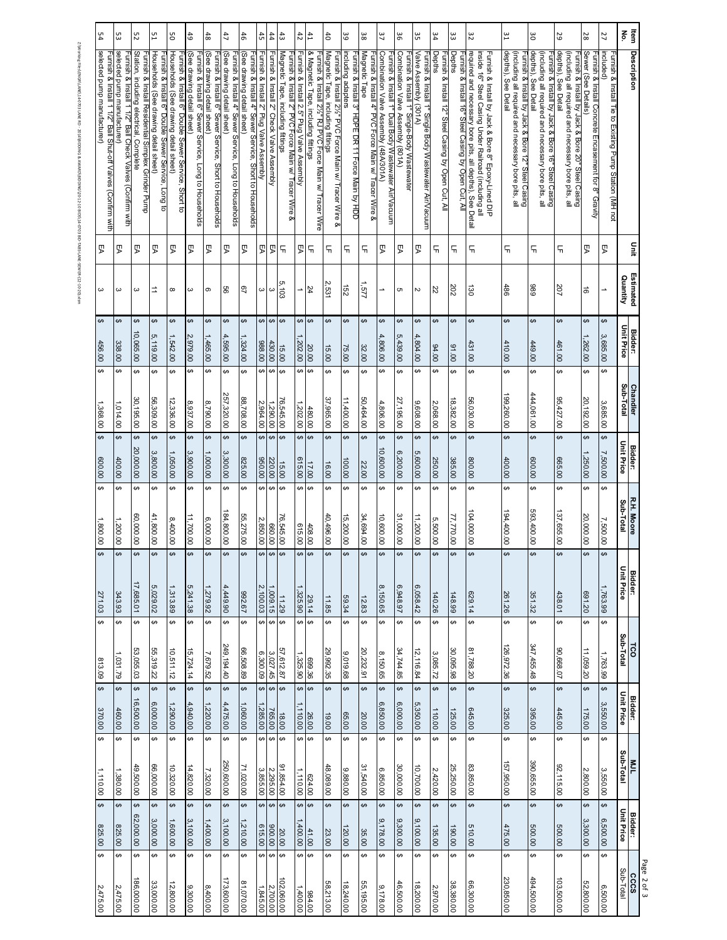| 54                                                                                           | ပ္ပ                                                                                     | 52                                                                                            | 51                                                                                          | SO                                                                                           | 6 <sup>1</sup>                                                                       | 48                                                                                  | 47                                                                                  | $\frac{4}{5}$                                                                         | 45                                       | 44                                        | $\ddot{3}$                                                                                | $42\,$                                         | $^{41}$                                                                                      | $\ddot{\sigma}$                                                                           | အ                                                                      | 38                                                                    | 37                                                                                            | န္တ                                                                              | ပ္ပ                                                                                         | 34                                                                   | ಜ                                                            | 32                                                                                                                 |                                                     | ဗူ                                                                                                                              | ő                                                                                                                                | 29                                                                                                                               | 28                                                                          | 27                                                                  | $\mathbf{\tilde{e}}$<br>ltem  |
|----------------------------------------------------------------------------------------------|-----------------------------------------------------------------------------------------|-----------------------------------------------------------------------------------------------|---------------------------------------------------------------------------------------------|----------------------------------------------------------------------------------------------|--------------------------------------------------------------------------------------|-------------------------------------------------------------------------------------|-------------------------------------------------------------------------------------|---------------------------------------------------------------------------------------|------------------------------------------|-------------------------------------------|-------------------------------------------------------------------------------------------|------------------------------------------------|----------------------------------------------------------------------------------------------|-------------------------------------------------------------------------------------------|------------------------------------------------------------------------|-----------------------------------------------------------------------|-----------------------------------------------------------------------------------------------|----------------------------------------------------------------------------------|---------------------------------------------------------------------------------------------|----------------------------------------------------------------------|--------------------------------------------------------------|--------------------------------------------------------------------------------------------------------------------|-----------------------------------------------------|---------------------------------------------------------------------------------------------------------------------------------|----------------------------------------------------------------------------------------------------------------------------------|----------------------------------------------------------------------------------------------------------------------------------|-----------------------------------------------------------------------------|---------------------------------------------------------------------|-------------------------------|
| selected pump manufacturer)<br>urnish & Install 1 1/2"<br>Ball Shut-off Valves (Confirm with | selected pump manufacturer)<br>Furnish & Install 1 1/2" Ball Check Valves (Confirm with | Station, including electrical, Complete<br>Furnish & Install Residential Simplex Grinder Pump | Households (See drawing detail sheet)<br>Furnish & Install 6" Double Sewer Service, Long to | Households (See drawing detail sheet)<br>−urnish & Install 6" Double Sewer Service, Short to | (See drawing detail sheet)<br>-urnish & Install 6" Sewer Service, Long to Households | See drawing detail sheet)<br>urnish & Install 6" Sewer Service, Short to Households | (See drawing detail sheet)<br>urnish & Install 4" Sewer Service, Long to Households | (See drawing detail sheet)<br>Furnish & Install 4" Sewer Service, Short to Households | Furnish & Install 2" Plug Valve Assembly | Furnish & Install 2" Check Valve Assembly | Magnetic Tape, including fittings<br>Furnish & Install 2" PVC Force Main w/ Tracer Wire & | Furnish & Install 2.5" Plug Valve Assembly     | & Magnetic Tape, including fittings<br>urnish & Install 2½" RJ PVC Force Main w/ Tracer Wire | Magnetic Tape, including fittings<br>urnish & Install 2½" PVC Force Main w/ Tracer Wire & | including adapters<br>urnish & Install 3" HDPE DR 11 Force Main by HDD | Magnetic Tape<br>Furnish & Install 4" PVC Force Main w/ Tracer Wire & | Combination Valve Assembly (48A/301A)<br>Furnish & Install 1" Dual Body Wastewater Air/Vacuum | Combination Valve Assembly (801A)<br>Furnish & Install 1" Single-Body Wastewater | Valve Assembly (301A)<br>Furnish & Install 1" Single Body Wastewater Air $\mathcal N$ acuum | <b>Depths</b><br>Furnish & Install 12" Steel Casing by Open Cut, All | Depths<br>urnish & Install 16" Steel Casing by Open Cut, All | required and necessary bore pits, all depths), See Detail<br>inside 16" Steel Casing Under Railroad (including all | Furnish & Install by Jack & Bore 8" Epoxy-Lined DIP | depths), See Detail<br>(including all required and necessary bore pits, all<br>urnish & Install by Jack & Bore 12" Steel Casing | depths), See Detail<br>(including all required and necessary bore pits, all<br>Furnish & Install by Jack & Bore 16" Steel Casing | depths), See Detail<br>(including all required and necessary bore pits, all<br>Furnish & Install by Jack & Bore 20" Steel Casing | Sewer (See Details)<br>Furnish & Install Concrete Encasement for 8" Gravity | included)<br>−urnish & Install Tie to Existing Pump Station (MH not | <b>Description</b>            |
| ያ                                                                                            | ያ                                                                                       | ያ                                                                                             | ያ                                                                                           | ያ                                                                                            | ያ                                                                                    | ያ                                                                                   | ያ                                                                                   | ያ                                                                                     | ይ                                        | ያ                                         | 듞                                                                                         | ይ                                              | 듞                                                                                            | Ч                                                                                         | 듀                                                                      | 딖                                                                     | ያ                                                                                             | ያ                                                                                | ያ                                                                                           | 듀                                                                    | 듞                                                            | 듞                                                                                                                  |                                                     | 듞                                                                                                                               | 듞                                                                                                                                | 듀                                                                                                                                | ያ                                                                           | ይ                                                                   | 틀                             |
| ω                                                                                            | ယ                                                                                       | ω                                                                                             | ⇉                                                                                           | $\infty$                                                                                     | $\mathbf{\omega}$                                                                    | თ                                                                                   | 99                                                                                  | - 67                                                                                  | ω                                        | $\infty$                                  | 5,103                                                                                     | $\overline{\phantom{a}}$                       | 24                                                                                           | Ņ<br>531                                                                                  | สิ                                                                     | //S                                                                   | →                                                                                             | c                                                                                | Z                                                                                           | 22                                                                   | 202                                                          | ά                                                                                                                  |                                                     | 486                                                                                                                             | 686                                                                                                                              | 207                                                                                                                              | ಹ                                                                           |                                                                     | Estimated<br>Quantity         |
| ↔<br>456.00                                                                                  | ↔<br>338.00                                                                             | ↔<br>10,065.00                                                                                | ↔<br>ŗΩ,<br>,119.00                                                                         | ↔<br>,542.00                                                                                 | ↔<br>2,979.00                                                                        | ↔<br>1,465.00                                                                       | ↮<br>4,595.00                                                                       | ↔<br>1,324.00                                                                         | ↮<br>988.00                              | $\leftrightarrow$<br>430.00               | ↔<br>15.00                                                                                | ↔<br>,202.00                                   | $\leftrightarrow$<br>20.00                                                                   | ↔<br>15.00                                                                                | ↮<br>75.00                                                             | ↮<br>32.00                                                            | ↔<br>4<br>00.008                                                                              | ↔<br>c<br>439.00                                                                 | ↔<br>4,<br>004.00                                                                           | ↔<br>00'76                                                           | ↔<br>00'16                                                   | ↔<br>431.00                                                                                                        |                                                     | ↔<br>410.00                                                                                                                     | ↮<br>449.00                                                                                                                      | ↔<br>461.00                                                                                                                      | ↔<br>262.00                                                                 | ↔<br>3,685.00                                                       | Unit Price<br><b>Bidder:</b>  |
| ↔<br>1,368.00                                                                                | ↔<br>1,014.00                                                                           | ↔<br>30,195.00                                                                                | $\pmb{\ominus}$<br>56,309.00                                                                | ↔<br>12,336.00                                                                               | ↔<br>8,937.00                                                                        | ↔<br>8,790.00                                                                       | $\leftrightarrow$<br>257,320.00                                                     | ↔<br>88,708.00                                                                        | ↔<br>2,964.00                            | $\Theta$<br>1,290.00                      | ↔<br>76,545.00                                                                            | ↮<br>,202.00                                   | $\leftrightarrow$<br>480.00                                                                  | ↔<br>37,965.00                                                                            | ↔<br>11,400.00                                                         | ↔<br>50,464.00                                                        | ↮<br>4,806.00                                                                                 | ↔<br>27,195.00                                                                   | ↔<br>9,608.00                                                                               | ↔<br>2,068.00                                                        | ↔<br>18,382.00                                               | ↔<br>56,030.00                                                                                                     |                                                     | ↔<br>199,260.00                                                                                                                 | ↔<br>444,061.00                                                                                                                  | ↔<br>95,427.00                                                                                                                   | ↔<br>20,192.00                                                              | ↮<br>3,685.00                                                       | Sub-Total<br><b>Chandler</b>  |
| ↔<br>00'009                                                                                  | ↔<br>400.00                                                                             | ↔<br>20,000.00                                                                                | $\leftrightarrow$<br>3,800.00                                                               | ↔<br>1,050.00                                                                                | ↔<br>3,900.00                                                                        | ↔<br>1,000.00                                                                       | ↔<br>3,300.00                                                                       | $\leftrightarrow$<br>825.00                                                           | <sub>co</sub><br>00.036                  | $\Theta$<br>220.00                        | ↔<br>15.00                                                                                | ↮<br>615.00                                    | $\leftrightarrow$<br>17.00                                                                   | ↔<br>16.00                                                                                | ↔<br>100.00                                                            | ↔<br>22.00                                                            | ↔<br>10,600.00                                                                                | ↔<br>6,200.00                                                                    | ↔<br>5,600.00                                                                               | ↔<br>250.00                                                          | ↔<br>385.00                                                  | ↔<br>800.00                                                                                                        |                                                     | $\leftrightarrow$<br>400.00                                                                                                     | ↔<br>00'009                                                                                                                      | ↔<br>665.00                                                                                                                      | $\Theta$<br>,250.00                                                         | ↔<br>7,500.00                                                       | Unit Price<br><b>Bidder:</b>  |
| ↔<br>1,800.00                                                                                | ↔<br>1,200.00                                                                           | ↔<br>60,000.00                                                                                | ↔<br>41,800.00                                                                              | ↔<br>8,400.00                                                                                | ↔<br>11,700.00                                                                       | ↔<br>6,000.00                                                                       | ↔<br>184,800.00                                                                     | ↔<br>55,275.00                                                                        | ↔<br>2,850.00                            | $\Theta$<br>660.00                        | ↔<br>76,545.00                                                                            | ↮<br>615.00                                    | $\Theta$<br>408.00                                                                           | ↔<br>40,496.00                                                                            | ↮<br>15,200.00                                                         | ↔<br>34,694.00                                                        | ↔<br>10,600.00                                                                                | ↔<br>31,000.00                                                                   | ↔<br>11,200.00                                                                              | ↔<br>5,500.00                                                        | ↔<br>77,770.00                                               | ↔<br>104,000.00                                                                                                    |                                                     | ↔<br>194,400.00                                                                                                                 | ↔<br>593,400.00                                                                                                                  | ↔<br>137,655.00                                                                                                                  | ↔<br>20,000.00                                                              | ↔<br>7,500.00                                                       | R.H. Moore<br>Sub-Total       |
| $\leftrightarrow$<br>271.03                                                                  | ↔<br>343.93                                                                             | ↔<br>17,685.01                                                                                | ↔<br>5,029.02                                                                               | ↔<br>1,313.89                                                                                | ↔<br>5,241.38                                                                        | ↔<br>1,279.92                                                                       | ↔<br>4,449.90                                                                       | $\overline{\mathbf{t}}$<br>192.67                                                     | <del>ی</del><br>2,100.03                 | ↔<br>1,009.15                             | ↔<br>11.29                                                                                | ↮<br>,325.90                                   | $\leftrightarrow$<br>29.14                                                                   | ↔<br>11.85                                                                                | ↔<br>59.34                                                             | ↔<br>12.83                                                            | <sub>co</sub><br>8,150.65                                                                     | မာ<br>6,948.97                                                                   | ↔<br>6,058.42                                                                               | $\leftrightarrow$<br>140.26                                          | ↔<br>148.99                                                  | ↔<br>629.14                                                                                                        |                                                     | \$<br>261.26                                                                                                                    | ↔<br>351.32                                                                                                                      | $\leftrightarrow$<br>438.01                                                                                                      | ↔<br>691.20                                                                 | ↔<br>1,763.99                                                       | Bidder:<br>Unit Price         |
| $\theta$<br>813.09                                                                           | ⇔<br>1,031.79                                                                           | ↔<br>53,055.03                                                                                | $\Theta$<br>55,319.22                                                                       | ↔<br>10,511.12                                                                               | ↔<br>15,724.14                                                                       | $\leftrightarrow$<br>7,679.52                                                       | ↔<br>249,194.40                                                                     | $\leftrightarrow$<br>66,508.89                                                        | ↔<br>6,300.09                            | $\leftrightarrow$<br>3,027.45             | ↔<br>57,612.87                                                                            | ↔<br>1,325.90                                  | $\leftrightarrow$<br>699.36                                                                  | ↔<br>29,992.35                                                                            | ↔<br>9,019.68                                                          | ↔<br>20,232.91                                                        | ↔<br>8,150.65                                                                                 | ↔<br>34,744.85                                                                   | ↔<br>12,116.84                                                                              | ↔<br>3,085.72                                                        | ↔<br>30,095.98                                               | $\overline{ }$<br>81,788.20                                                                                        |                                                     | ↔<br>126,972.36                                                                                                                 | $\overline{ }$<br>347,455.48                                                                                                     | ↔<br>90,668.07                                                                                                                   | ↔<br>11,059.20                                                              | ↔<br>1,763.99                                                       | Sub-Total<br><b>LCO</b>       |
| $\bullet$<br>370.00                                                                          | $\overline{\mathbf{3}}$<br>460.00                                                       | $\leftrightarrow$<br>16,500.00                                                                | $\leftrightarrow$<br>6,000.00                                                               | ↔<br>1,290.00                                                                                | $\overline{\mathbf{3}}$<br>4,940.00                                                  | $\overline{ }$<br>1,220.00                                                          | $\overline{\mathbf{t}}$<br>4,475.00                                                 | $\leftrightarrow$<br>1,060.00                                                         | $\overline{\mathbf{v}}$<br>,285.00       | $\leftrightarrow$<br>765.00               | $\overline{\mathbf{t}}$<br>18.00                                                          | $\leftrightarrow$<br>110.00                    | $\leftrightarrow$<br>26.00                                                                   | $\leftrightarrow$<br>19.00                                                                | \$<br>65.00                                                            | ↔<br>20.00                                                            | $\overline{\mathbf{3}}$<br>6,850.00                                                           | ↔<br>6,000.00                                                                    | $\overline{\mathbf{3}}$<br>5,350.00                                                         | $\leftrightarrow$<br>110.00                                          | $\overline{\mathbf{6}}$<br>125.00                            | $\overline{ }$<br>645.00                                                                                           |                                                     | $\leftrightarrow$<br>325.00                                                                                                     | $\leftrightarrow$<br>395.00                                                                                                      | $\overline{ }$<br>445.00                                                                                                         | $\leftrightarrow$<br>175.00                                                 | ↔<br>3,550.00                                                       | <b>Bidder:<br/>Unit Price</b> |
| $\overline{ }$<br>1,110.00                                                                   | ↔<br>1,380.00                                                                           | ↔<br>49,500.00                                                                                | $\Theta$<br>66,000.00                                                                       | ↔<br>10,320.00                                                                               | ↔<br>14,820.00                                                                       | ↔<br>7,320.00                                                                       | $\leftrightarrow$<br>250,600.00                                                     | $\overline{\mathbf{3}}$<br>71,020.00                                                  | ↔<br>3,855.00                            | $\leftrightarrow$<br>2,295.00             | ↔<br>91,854.00                                                                            | $\leftrightarrow$<br>$\frac{624.00}{1,110.00}$ | $\leftrightarrow$                                                                            | $\leftrightarrow$<br>48,089.00                                                            | ↔<br>9,880.00                                                          | ↔<br>31,540.00                                                        | ↔<br>6,850.00                                                                                 | ↔<br>30,000.00                                                                   | ↔<br>10,700.00                                                                              | ↔<br>2,420.00                                                        | ِ⇔<br>25,250.00                                              | $\overline{ }$<br>83,850.00                                                                                        |                                                     | ↔<br>157,950.00                                                                                                                 | ↔<br>390,655.00                                                                                                                  | ↔<br>92,115.00                                                                                                                   | $\Theta$<br>2,800.00                                                        | ↔<br>3,550.00                                                       | MJL<br>Sub-Total              |
| $\overline{ }$<br>825.00                                                                     | ↔<br>825.00                                                                             | $\leftrightarrow$<br>62,000.00                                                                | $\leftrightarrow$<br>3,000.00                                                               | ↔<br>1,600.00                                                                                | ↔<br>3,100.00                                                                        | $\overline{\mathbf{3}}$<br>1,400.00                                                 | $\bullet$<br>3,100.00                                                               | $\overline{\mathbf{v}}$<br>1,210.00                                                   | $\overline{\mathbf{t}}$<br>615.00        | $\leftrightarrow$<br>900.00               | $\overline{\mathbf{t}}$<br>20.00                                                          | ↔<br>,400.00                                   | $\leftrightarrow$<br>41.00                                                                   | $\overline{ }$<br>23.00                                                                   | ↔<br>120.00                                                            | ↔<br>35.00                                                            | $\theta$<br>9,178.00                                                                          | ↔<br>9,300.00                                                                    | $\leftrightarrow$<br>9,100.00                                                               | $\leftrightarrow$<br>135.00                                          | $\overline{ }$<br>190.00                                     | $\overline{\mathbf{v}}$<br>510.00                                                                                  |                                                     | $\leftrightarrow$<br>475.00                                                                                                     | $\overline{\mathbf{t}}$<br>500.00                                                                                                | $\overline{ }$<br>500.00                                                                                                         | $\leftrightarrow$<br>ین<br>,300.00                                          | $\leftrightarrow$<br>6,500.00                                       | <b>Bidder:</b><br>Unit Price  |
| ↔<br>2,475.00                                                                                | ↔<br>2,475.00                                                                           | $\Theta$<br>186,000.00                                                                        | $\bullet$<br>33,000.00                                                                      | ↔<br>12,800.00                                                                               | ↔<br>9,300.00                                                                        | ↔<br>8,400.00                                                                       | ↔<br>173,600.00                                                                     | $\overline{\mathbf{3}}$<br>81,070.00                                                  | ↔<br>1,845.00                            | $\leftrightarrow$<br>2,700.00             | ↔<br>102,060.00                                                                           | $\leftrightarrow$<br>1,400.00                  | $\Theta$<br>984.00                                                                           | ↔<br>58,213.00                                                                            | ↔<br>18,240.00                                                         | ↔<br>55,195.00                                                        | ↔<br>9,178.00                                                                                 | ↔<br>46,500.00                                                                   | ↔<br>18,200.00                                                                              | ↔<br>2,970.00                                                        | $\theta$<br>38,380.00                                        | $\overline{\mathbf{3}}$<br>66,300.00                                                                               |                                                     | ↔<br>230,850.00                                                                                                                 | $\overline{ }$<br>494,500.00                                                                                                     | ↔<br>103,500.00                                                                                                                  | $\Theta$<br>52,800.00                                                       | ↔<br>6,500.00                                                       | Sub-Total<br>cccs             |

Z:Working Files\ENGR\LANE\14-0703 LANE RD - 2014\BIDDING Z:\Working Files\ENGR\LANE\14-0703 LANE RD - 2014\BIDDING & AWARD\BIDDING\20-12-10 BIDS\14-0703 BID-TABS-LANE-SEWER-(12-10-20).xlsm8DDING\20-12-10 BIDS\14-0703 BID-TABS-LANE-SEWER-(12-10-20).xlsm

> Page 2 of 3 Page 2 of 3